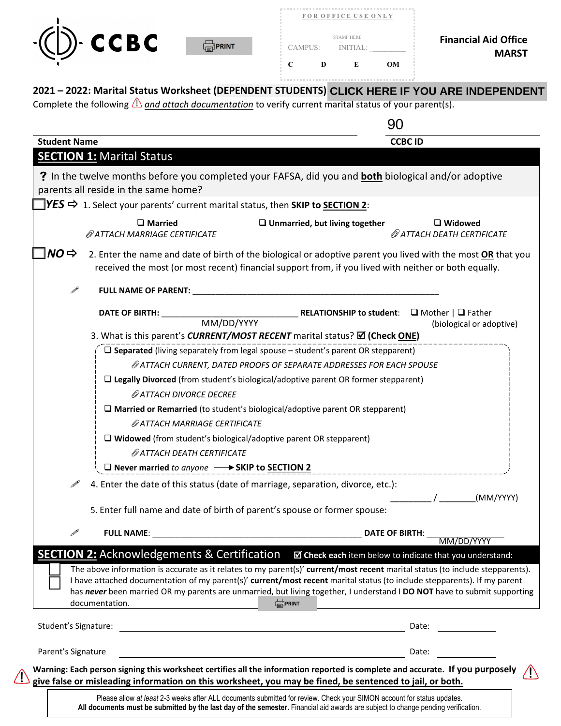

 $\bigwedge$ 



|                             |           | <b>FOR OFFICE USE ONLY</b>   |   |         |
|-----------------------------|-----------|------------------------------|---|---------|
| <b>Financial Aid Office</b> |           | <b>STAMP HERE</b><br>INTIAL: |   | CAMPUS: |
| <b>MARST</b>                | <b>OM</b> | E                            | D | С       |

|                      |                                                                                               |                                                                                                                                                                                                                                                                                                                                                                                                       | 90                                                                    |
|----------------------|-----------------------------------------------------------------------------------------------|-------------------------------------------------------------------------------------------------------------------------------------------------------------------------------------------------------------------------------------------------------------------------------------------------------------------------------------------------------------------------------------------------------|-----------------------------------------------------------------------|
| <b>Student Name</b>  |                                                                                               |                                                                                                                                                                                                                                                                                                                                                                                                       | <b>CCBC ID</b>                                                        |
|                      | <b>SECTION 1: Marital Status</b>                                                              |                                                                                                                                                                                                                                                                                                                                                                                                       |                                                                       |
|                      |                                                                                               | ? In the twelve months before you completed your FAFSA, did you and <b>both</b> biological and/or adoptive                                                                                                                                                                                                                                                                                            |                                                                       |
|                      | parents all reside in the same home?                                                          |                                                                                                                                                                                                                                                                                                                                                                                                       |                                                                       |
|                      | $\blacktriangleright$ 1. Select your parents' current marital status, then SKIP to SECTION 2: |                                                                                                                                                                                                                                                                                                                                                                                                       |                                                                       |
|                      | $\square$ Married<br>@ ATTACH MARRIAGE CERTIFICATE                                            | $\Box$ Unmarried, but living together                                                                                                                                                                                                                                                                                                                                                                 | $\Box$ Widowed<br>@ ATTACH DEATH CERTIFICATE                          |
| $NO \Rightarrow$     |                                                                                               | 2. Enter the name and date of birth of the biological or adoptive parent you lived with the most OR that you<br>received the most (or most recent) financial support from, if you lived with neither or both equally.                                                                                                                                                                                 |                                                                       |
| Í                    | FULL NAME OF PARENT: NAME OF PARENT:                                                          |                                                                                                                                                                                                                                                                                                                                                                                                       |                                                                       |
|                      | <b>DATE OF BIRTH:</b><br>MM/DD/YYYY                                                           | <b>RELATIONSHIP to student:</b> $\Box$ Mother $ \Box$ Father                                                                                                                                                                                                                                                                                                                                          | (biological or adoptive)                                              |
|                      |                                                                                               | 3. What is this parent's CURRENT/MOST RECENT marital status? <b>⊠ (Check ONE)</b>                                                                                                                                                                                                                                                                                                                     |                                                                       |
|                      |                                                                                               | $\square$ Separated (living separately from legal spouse $-$ student's parent OR stepparent)                                                                                                                                                                                                                                                                                                          |                                                                       |
|                      |                                                                                               | @ATTACH CURRENT, DATED PROOFS OF SEPARATE ADDRESSES FOR EACH SPOUSE                                                                                                                                                                                                                                                                                                                                   |                                                                       |
|                      |                                                                                               | $\square$ Legally Divorced (from student's biological/adoptive parent OR former stepparent)                                                                                                                                                                                                                                                                                                           |                                                                       |
|                      | @ATTACH DIVORCE DECREE                                                                        |                                                                                                                                                                                                                                                                                                                                                                                                       |                                                                       |
|                      |                                                                                               | $\square$ Married or Remarried (to student's biological/adoptive parent OR stepparent)                                                                                                                                                                                                                                                                                                                |                                                                       |
|                      | @ ATTACH MARRIAGE CERTIFICATE                                                                 |                                                                                                                                                                                                                                                                                                                                                                                                       |                                                                       |
|                      | $\Box$ Widowed (from student's biological/adoptive parent OR stepparent)                      |                                                                                                                                                                                                                                                                                                                                                                                                       |                                                                       |
|                      | @ ATTACH DEATH CERTIFICATE                                                                    |                                                                                                                                                                                                                                                                                                                                                                                                       |                                                                       |
|                      | □ Never married to anyone – → SKIP to SECTION 2                                               |                                                                                                                                                                                                                                                                                                                                                                                                       |                                                                       |
|                      |                                                                                               | 4. Enter the date of this status (date of marriage, separation, divorce, etc.):                                                                                                                                                                                                                                                                                                                       |                                                                       |
|                      |                                                                                               | 5. Enter full name and date of birth of parent's spouse or former spouse:                                                                                                                                                                                                                                                                                                                             | _ / _________(MM/YYYY)                                                |
| $\mathcal{P}$        |                                                                                               |                                                                                                                                                                                                                                                                                                                                                                                                       | <b>DATE OF BIRTH:</b><br>MM/DD/YYYY                                   |
|                      | <b>SECTION 2:</b> Acknowledgements & Certification                                            |                                                                                                                                                                                                                                                                                                                                                                                                       | $\blacksquare$ Check each item below to indicate that you understand: |
|                      | documentation.                                                                                | The above information is accurate as it relates to my parent(s)' current/most recent marital status (to include stepparents).<br>I have attached documentation of my parent(s)' current/most recent marital status (to include stepparents). If my parent<br>has never been married OR my parents are unmarried, but living together, I understand I DO NOT have to submit supporting<br><b>PRINT</b> |                                                                       |
| Student's Signature: |                                                                                               | <u> 1980 - John Stein, amerikansk politiker (</u>                                                                                                                                                                                                                                                                                                                                                     | Date:                                                                 |
| Parent's Signature   |                                                                                               |                                                                                                                                                                                                                                                                                                                                                                                                       | Date:                                                                 |
|                      |                                                                                               |                                                                                                                                                                                                                                                                                                                                                                                                       |                                                                       |

Please allow *at least* 2-3 weeks after ALL documents submitted for review. Check your SIMON account for status updates. **All documents must be submitted by the last day of the semester.** Financial aid awards are subject to change pending verification.